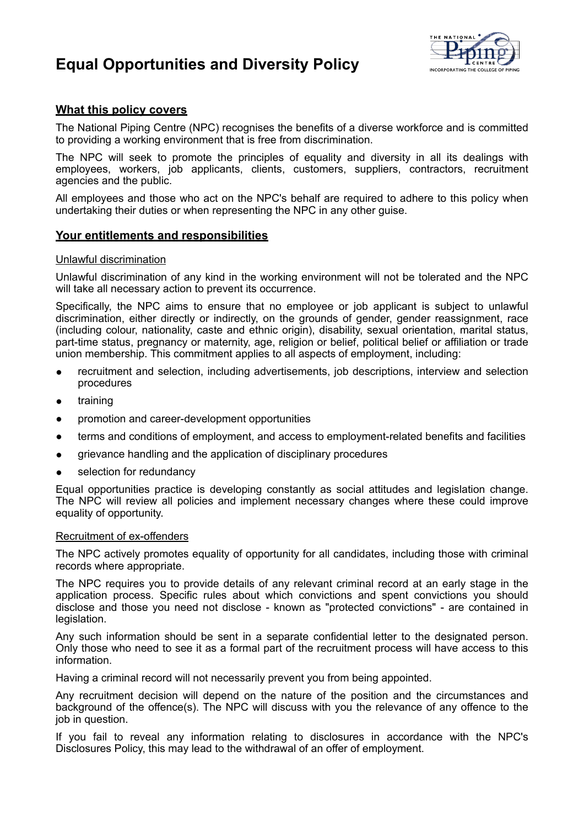# **Equal Opportunities and Diversity Policy**



# **What this policy covers**

The National Piping Centre (NPC) recognises the benefits of a diverse workforce and is committed to providing a working environment that is free from discrimination.

The NPC will seek to promote the principles of equality and diversity in all its dealings with employees, workers, job applicants, clients, customers, suppliers, contractors, recruitment agencies and the public.

All employees and those who act on the NPC's behalf are required to adhere to this policy when undertaking their duties or when representing the NPC in any other guise.

## **Your entitlements and responsibilities**

#### Unlawful discrimination

Unlawful discrimination of any kind in the working environment will not be tolerated and the NPC will take all necessary action to prevent its occurrence.

Specifically, the NPC aims to ensure that no employee or job applicant is subject to unlawful discrimination, either directly or indirectly, on the grounds of gender, gender reassignment, race (including colour, nationality, caste and ethnic origin), disability, sexual orientation, marital status, part-time status, pregnancy or maternity, age, religion or belief, political belief or affiliation or trade union membership. This commitment applies to all aspects of employment, including:

- recruitment and selection, including advertisements, job descriptions, interview and selection procedures
- training
- promotion and career-development opportunities
- terms and conditions of employment, and access to employment-related benefits and facilities
- grievance handling and the application of disciplinary procedures
- selection for redundancy

Equal opportunities practice is developing constantly as social attitudes and legislation change. The NPC will review all policies and implement necessary changes where these could improve equality of opportunity.

#### Recruitment of ex-offenders

The NPC actively promotes equality of opportunity for all candidates, including those with criminal records where appropriate.

The NPC requires you to provide details of any relevant criminal record at an early stage in the application process. Specific rules about which convictions and spent convictions you should disclose and those you need not disclose - known as "protected convictions" - are contained in legislation.

Any such information should be sent in a separate confidential letter to the designated person. Only those who need to see it as a formal part of the recruitment process will have access to this information.

Having a criminal record will not necessarily prevent you from being appointed.

Any recruitment decision will depend on the nature of the position and the circumstances and background of the offence(s). The NPC will discuss with you the relevance of any offence to the job in question.

If you fail to reveal any information relating to disclosures in accordance with the NPC's Disclosures Policy, this may lead to the withdrawal of an offer of employment.